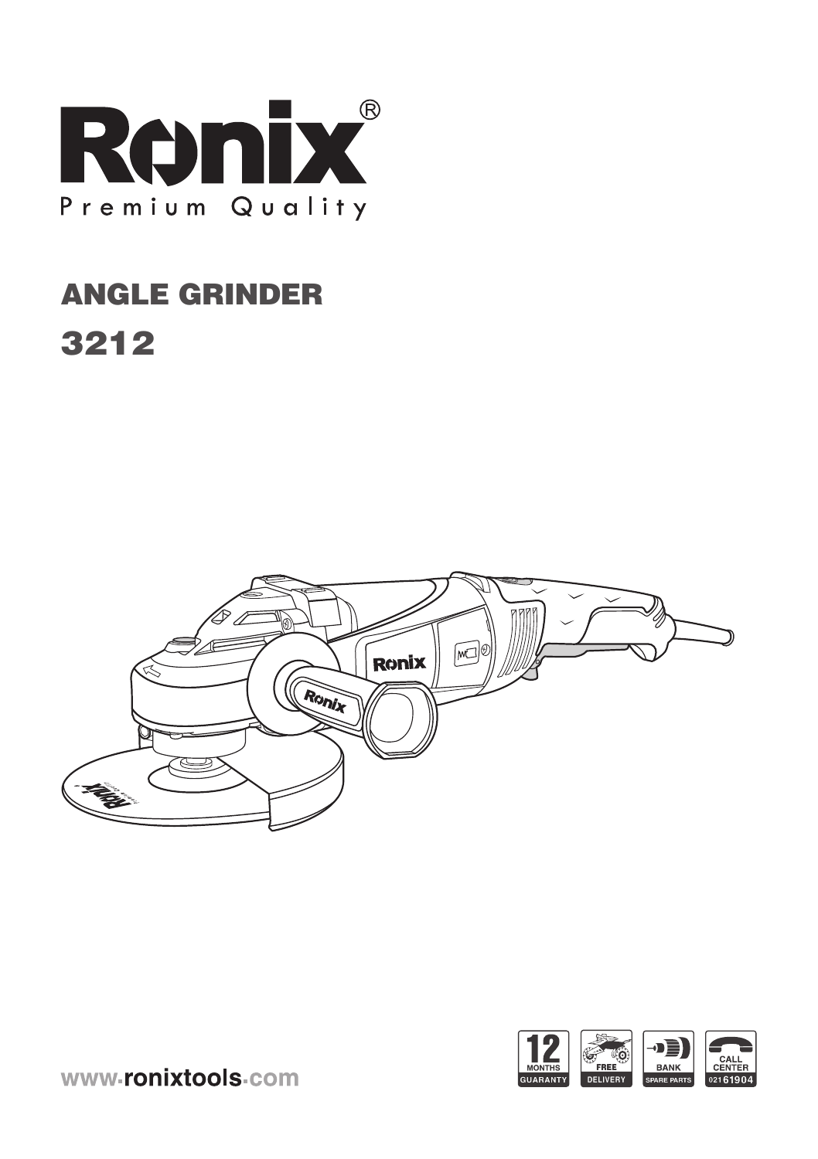

# ANGLE GRINDER 3212





www-ronixtools-com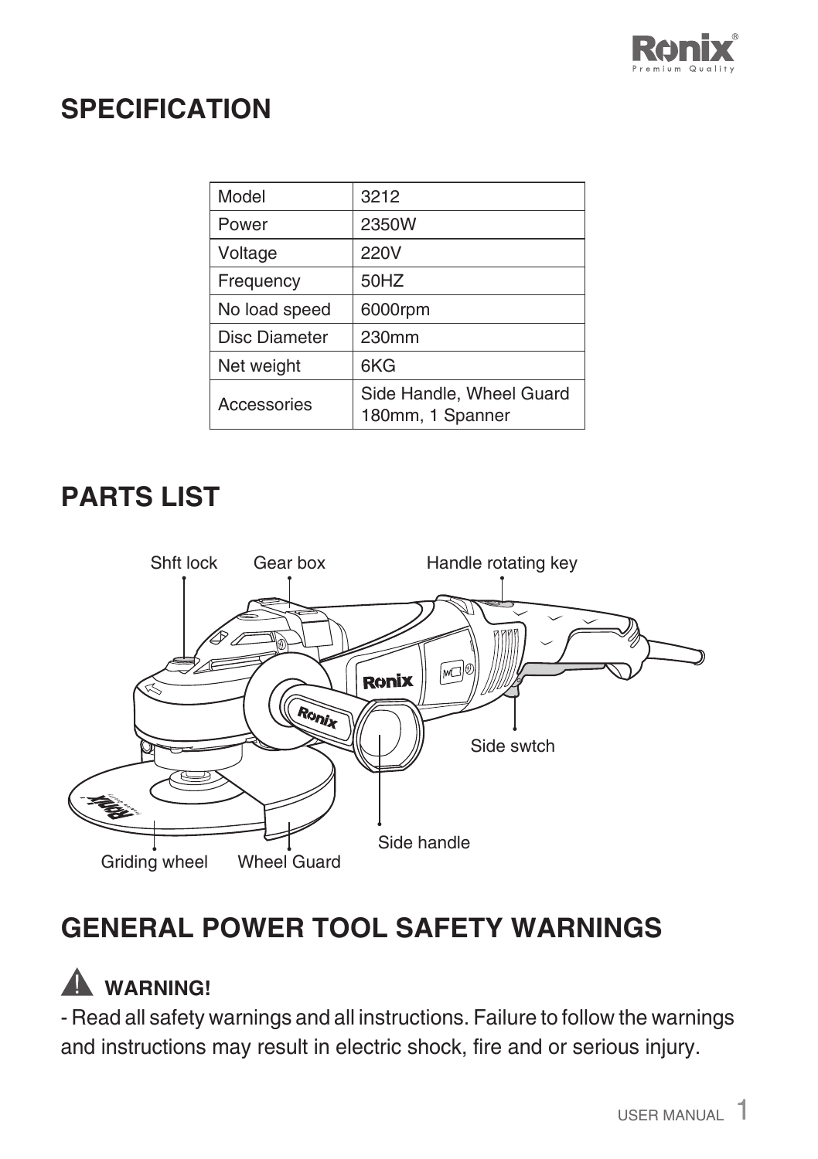

### **SPECIFICATION**

| Model         | 3212                                         |
|---------------|----------------------------------------------|
| Power         | 2350W                                        |
| Voltage       | 220V                                         |
| Frequency     | 50HZ                                         |
| No load speed | 6000rpm                                      |
| Disc Diameter | 230mm                                        |
| Net weight    | 6KG                                          |
| Accessories   | Side Handle, Wheel Guard<br>180mm, 1 Spanner |

### **PARTS LIST**



### **GENERAL POWER TOOL SAFETY WARNINGS**

# **WARNING!**

- Read all safety warnings and all instructions. Failure to follow the warnings and instructions may result in electric shock, fire and or serious injury.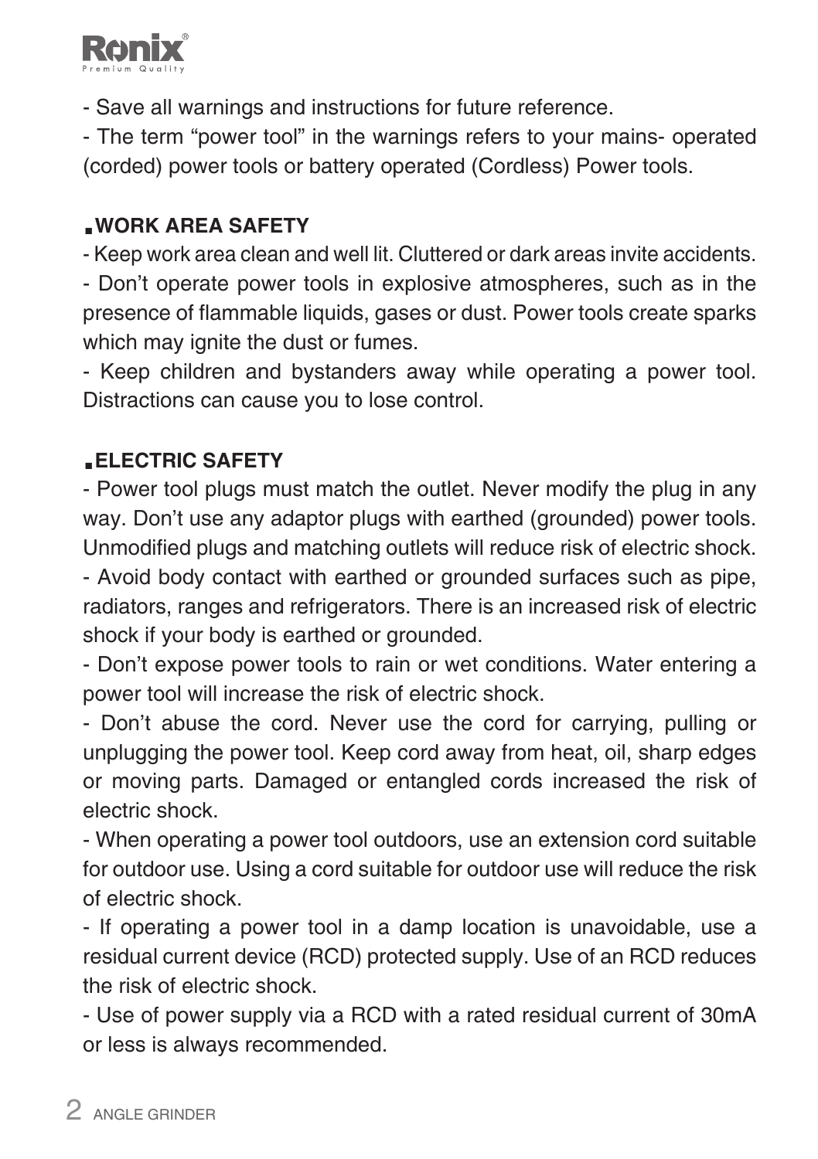

- Save all warnings and instructions for future reference.

- The term "power tool" in the warnings refers to your mains- operated (corded) power tools or battery operated (Cordless) Power tools.

#### **.WORK AREA SAFETY**

- Keep work area clean and well lit. Cluttered or dark areas invite accidents.

- Don't operate power tools in explosive atmospheres, such as in the presence of flammable liquids, gases or dust. Power tools create sparks which may ignite the dust or fumes.

- Keep children and bystanders away while operating a power tool. Distractions can cause you to lose control.

#### **.ELECTRIC SAFETY**

- Power tool plugs must match the outlet. Never modify the plug in any way. Don't use any adaptor plugs with earthed (grounded) power tools. Unmodified plugs and matching outlets will reduce risk of electric shock.

- Avoid body contact with earthed or grounded surfaces such as pipe, radiators, ranges and refrigerators. There is an increased risk of electric shock if your body is earthed or grounded.

- Don't expose power tools to rain or wet conditions. Water entering a power tool will increase the risk of electric shock.

- Don't abuse the cord. Never use the cord for carrying, pulling or unplugging the power tool. Keep cord away from heat, oil, sharp edges or moving parts. Damaged or entangled cords increased the risk of electric shock.

- When operating a power tool outdoors, use an extension cord suitable for outdoor use. Using a cord suitable for outdoor use will reduce the risk of electric shock.

- If operating a power tool in a damp location is unavoidable, use a residual current device (RCD) protected supply. Use of an RCD reduces the risk of electric shock.

- Use of power supply via a RCD with a rated residual current of 30mA or less is always recommended.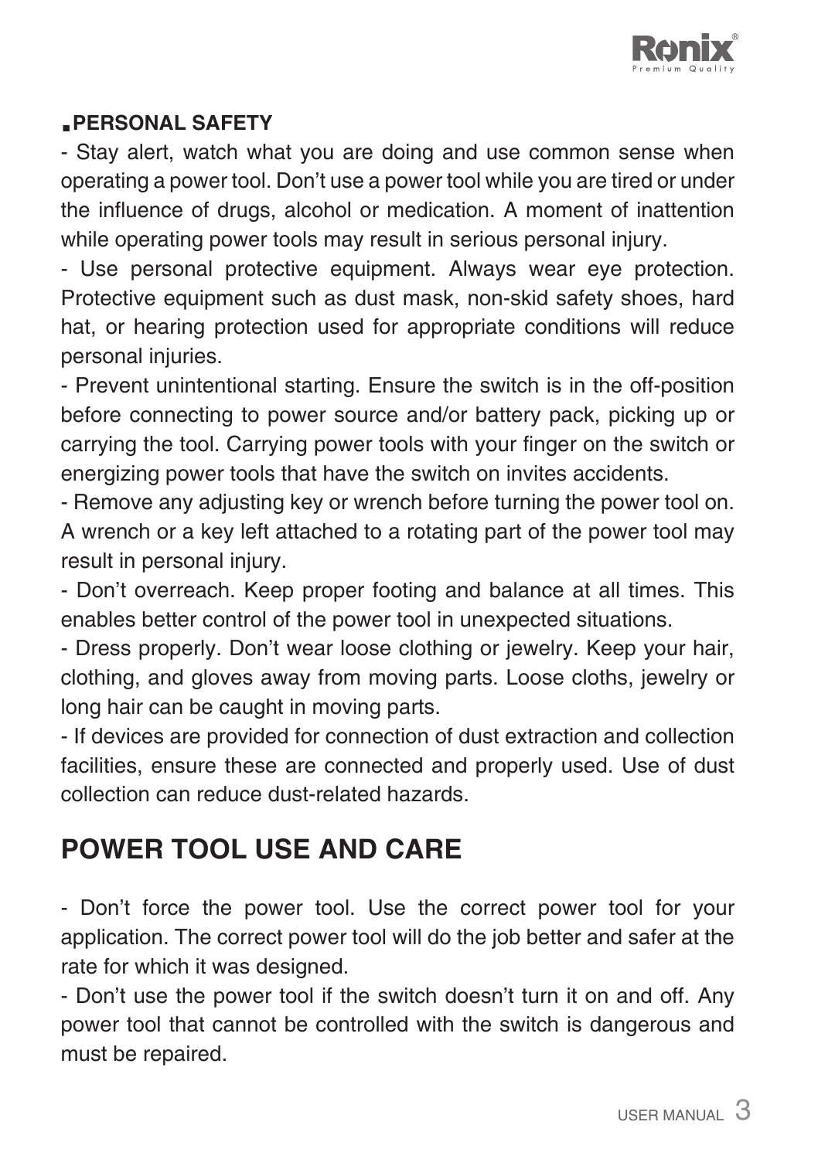

#### **.PERSONAL SAFETY**

- Stay alert, watch what you are doing and use common sense when operating a power tool. Don't use a power tool while you are tired or under the influence of drugs, alcohol or medication. A moment of inattention while operating power tools may result in serious personal injury.

- Use personal protective equipment. Always wear eye protection. Protective equipment such as dust mask, non-skid safety shoes, hard hat, or hearing protection used for appropriate conditions will reduce personal injuries.

- Prevent unintentional starting. Ensure the switch is in the off-position before connecting to power source and/or battery pack, picking up or carrying the tool. Carrying power tools with your finger on the switch or energizing power tools that have the switch on invites accidents.

- Remove any adjusting key or wrench before turning the power tool on. A wrench or a key left attached to a rotating part of the power tool may result in personal injury.

- Don't overreach. Keep proper footing and balance at all times. This enables better control of the power tool in unexpected situations.

- Dress properly. Don't wear loose clothing or jewelry. Keep your hair, clothing, and gloves away from moving parts. Loose cloths, jewelry or long hair can be caught in moving parts.

- If devices are provided for connection of dust extraction and collection facilities, ensure these are connected and properly used. Use of dust collection can reduce dust-related hazards.

### **POWER TOOL USE AND CARE**

- Don't force the power tool. Use the correct power tool for your application. The correct power tool will do the job better and safer at the rate for which it was designed.

- Don't use the power tool if the switch doesn't turn it on and off. Any power tool that cannot be controlled with the switch is dangerous and must be repaired.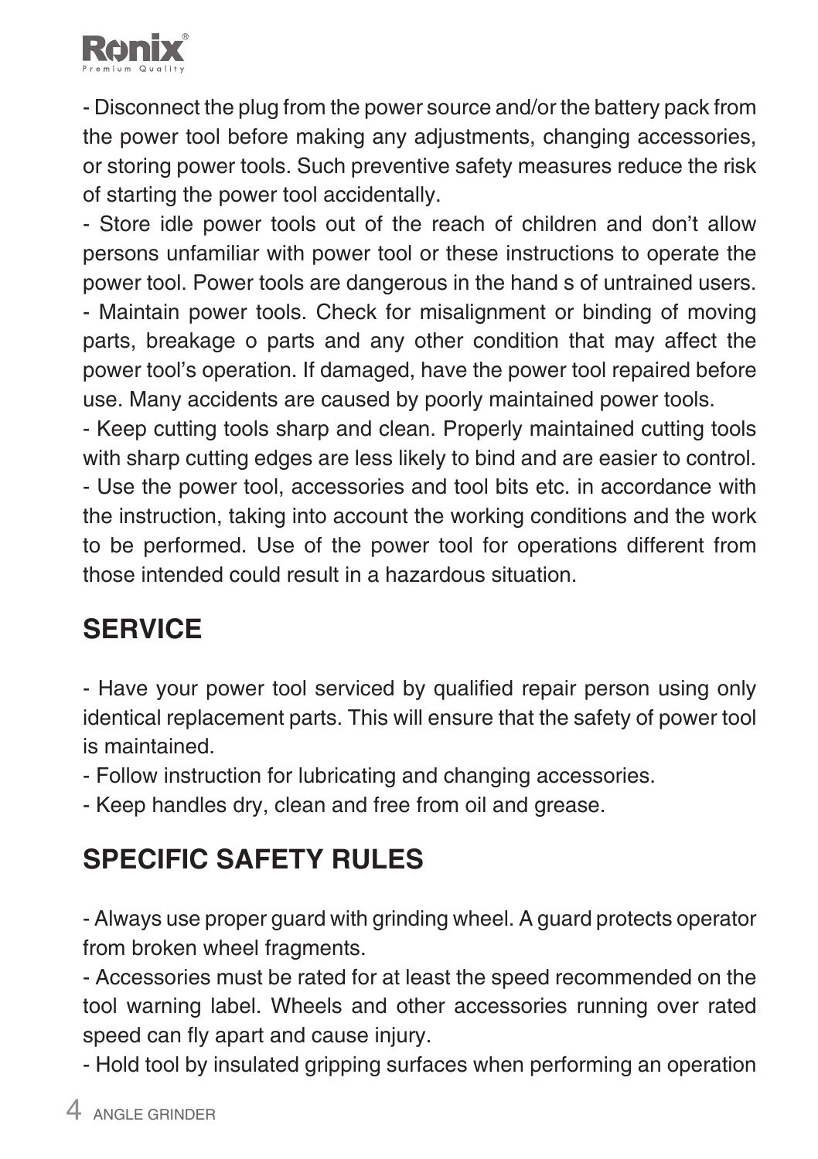

- Disconnect the plug from the power source and/or the battery pack from the power tool before making any adjustments, changing accessories, or storing power tools. Such preventive safety measures reduce the risk of starting the power tool accidentally.

- Store idle power tools out of the reach of children and don't allow persons unfamiliar with power tool or these instructions to operate the power tool. Power tools are dangerous in the hand s of untrained users. - Maintain power tools. Check for misalignment or binding of moving parts, breakage o parts and any other condition that may affect the power tool's operation. If damaged, have the power tool repaired before use. Many accidents are caused by poorly maintained power tools.

- Keep cutting tools sharp and clean. Properly maintained cutting tools with sharp cutting edges are less likely to bind and are easier to control. - Use the power tool, accessories and tool bits etc. in accordance with the instruction, taking into account the working conditions and the work to be performed. Use of the power tool for operations different from those intended could result in a hazardous situation.

### **SERVICE**

- Have your power tool serviced by qualified repair person using only identical replacement parts. This will ensure that the safety of power tool is maintained.

- Follow instruction for lubricating and changing accessories.

- Keep handles dry, clean and free from oil and grease.

### **SPECIFIC SAFETY RULES**

- Always use proper guard with grinding wheel. A guard protects operator from broken wheel fragments.

- Accessories must be rated for at least the speed recommended on the tool warning label. Wheels and other accessories running over rated speed can fly apart and cause injury.

- Hold tool by insulated gripping surfaces when performing an operation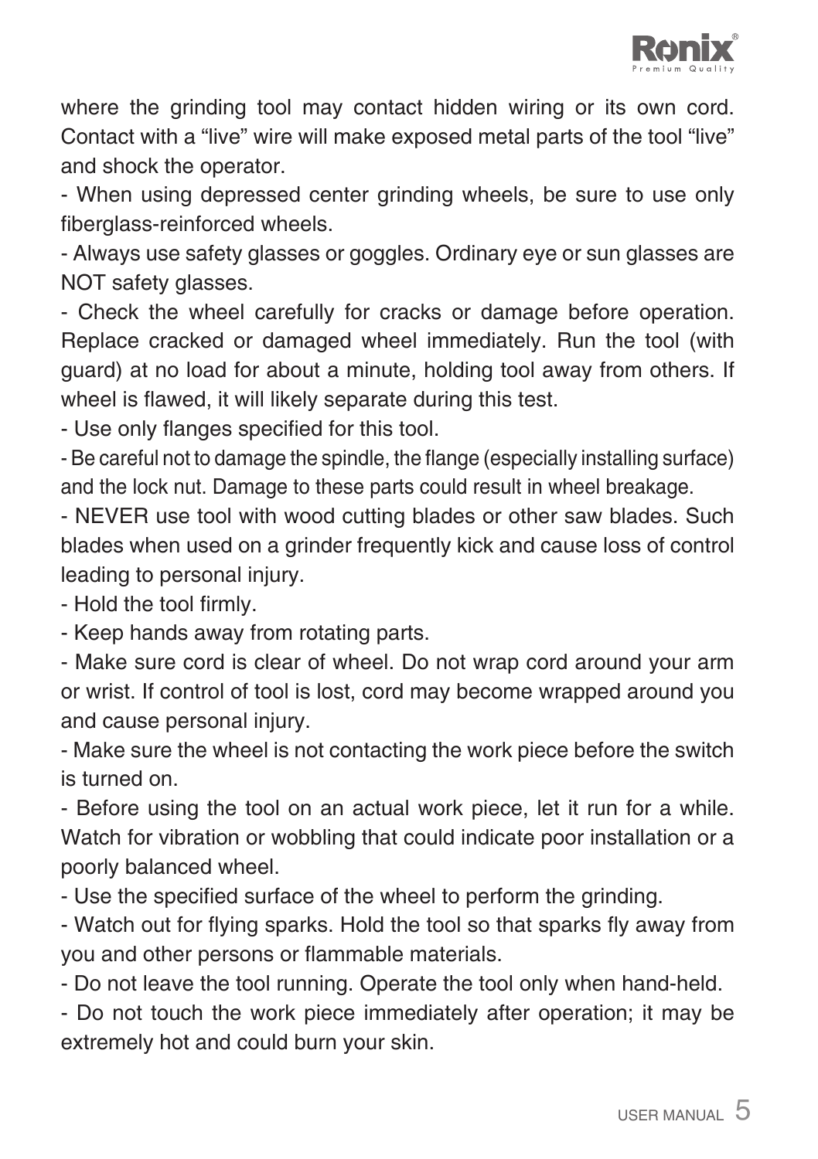

where the grinding tool may contact hidden wiring or its own cord. Contact with a "live" wire will make exposed metal parts of the tool "live" and shock the operator.

- When using depressed center grinding wheels, be sure to use only fiberglass-reinforced wheels.

- Always use safety glasses or goggles. Ordinary eye or sun glasses are NOT safety glasses.

- Check the wheel carefully for cracks or damage before operation. Replace cracked or damaged wheel immediately. Run the tool (with guard) at no load for about a minute, holding tool away from others. If wheel is flawed, it will likely separate during this test.

- Use only flanges specified for this tool.

- Be careful not to damage the spindle, the flange (especially installing surface) and the lock nut. Damage to these parts could result in wheel breakage.

- NEVER use tool with wood cutting blades or other saw blades. Such blades when used on a grinder frequently kick and cause loss of control leading to personal injury.

- Hold the tool firmly.

- Keep hands away from rotating parts.

- Make sure cord is clear of wheel. Do not wrap cord around your arm or wrist. If control of tool is lost, cord may become wrapped around you and cause personal injury.

- Make sure the wheel is not contacting the work piece before the switch is turned on.

- Before using the tool on an actual work piece, let it run for a while. Watch for vibration or wobbling that could indicate poor installation or a poorly balanced wheel.

- Use the specified surface of the wheel to perform the grinding.

- Watch out for flying sparks. Hold the tool so that sparks fly away from you and other persons or flammable materials.

- Do not leave the tool running. Operate the tool only when hand-held.

- Do not touch the work piece immediately after operation; it may be extremely hot and could burn your skin.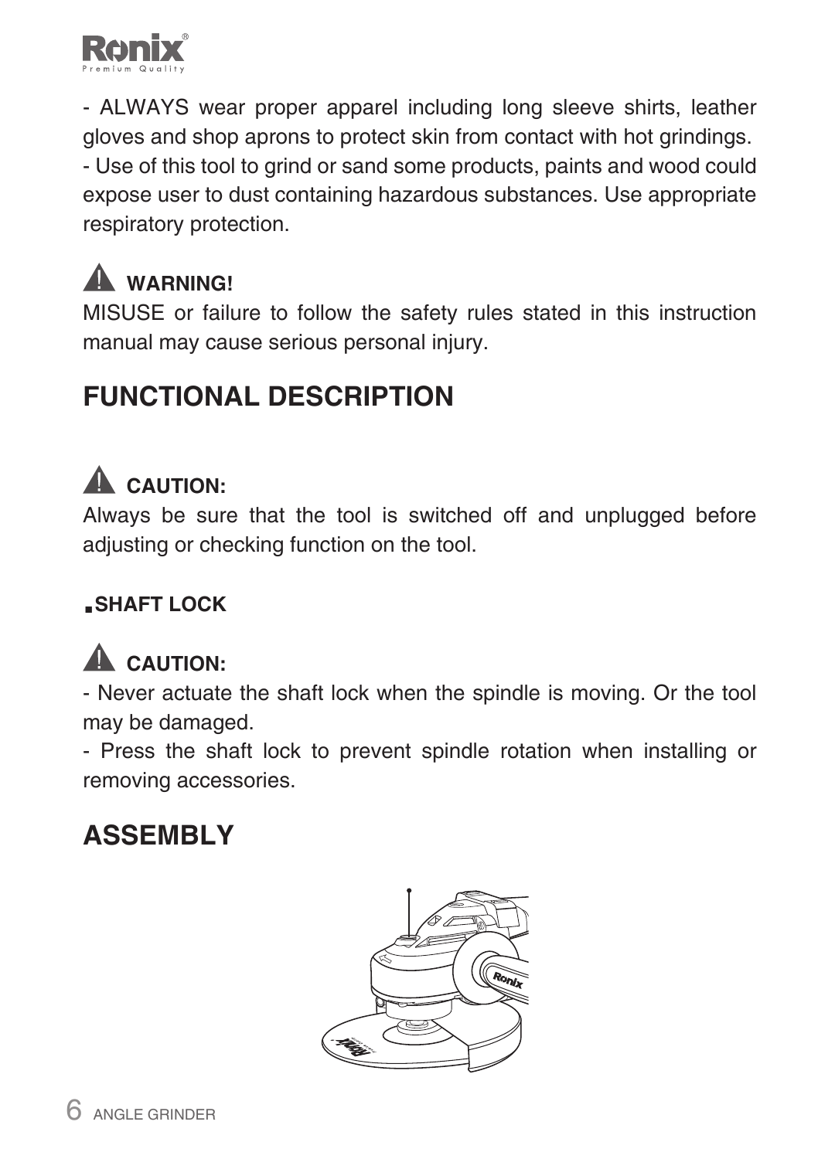

- ALWAYS wear proper apparel including long sleeve shirts, leather gloves and shop aprons to protect skin from contact with hot grindings. - Use of this tool to grind or sand some products, paints and wood could expose user to dust containing hazardous substances. Use appropriate respiratory protection.

### **WARNING!**

MISUSE or failure to follow the safety rules stated in this instruction manual may cause serious personal injury.

### **FUNCTIONAL DESCRIPTION**

# A CAUTION:

Always be sure that the tool is switched off and unplugged before adjusting or checking function on the tool.

#### **.SHAFT LOCK**

# A CAUTION:

- Never actuate the shaft lock when the spindle is moving. Or the tool may be damaged.

- Press the shaft lock to prevent spindle rotation when installing or removing accessories.

### **ASSEMBLY**

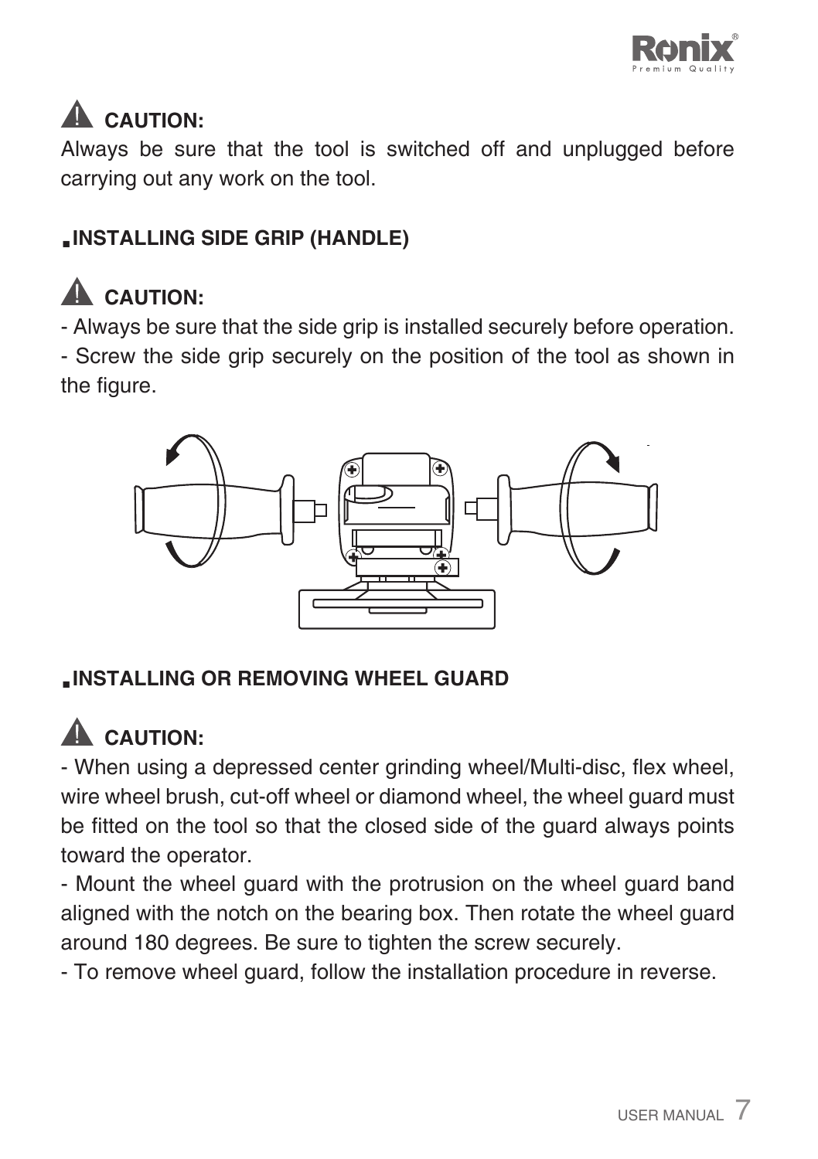

# **CAUTION:**

Always be sure that the tool is switched off and unplugged before carrying out any work on the tool.

#### **.INSTALLING SIDE GRIP (HANDLE)**

# **CAUTION:**

- Always be sure that the side grip is installed securely before operation.

- Screw the side grip securely on the position of the tool as shown in the figure.



#### **.INSTALLING OR REMOVING WHEEL GUARD**

# A CAUTION:

- When using a depressed center grinding wheel/Multi-disc, flex wheel, wire wheel brush, cut-off wheel or diamond wheel, the wheel guard must be fitted on the tool so that the closed side of the guard always points toward the operator.

- Mount the wheel guard with the protrusion on the wheel guard band aligned with the notch on the bearing box. Then rotate the wheel guard around 180 degrees. Be sure to tighten the screw securely.

- To remove wheel guard, follow the installation procedure in reverse.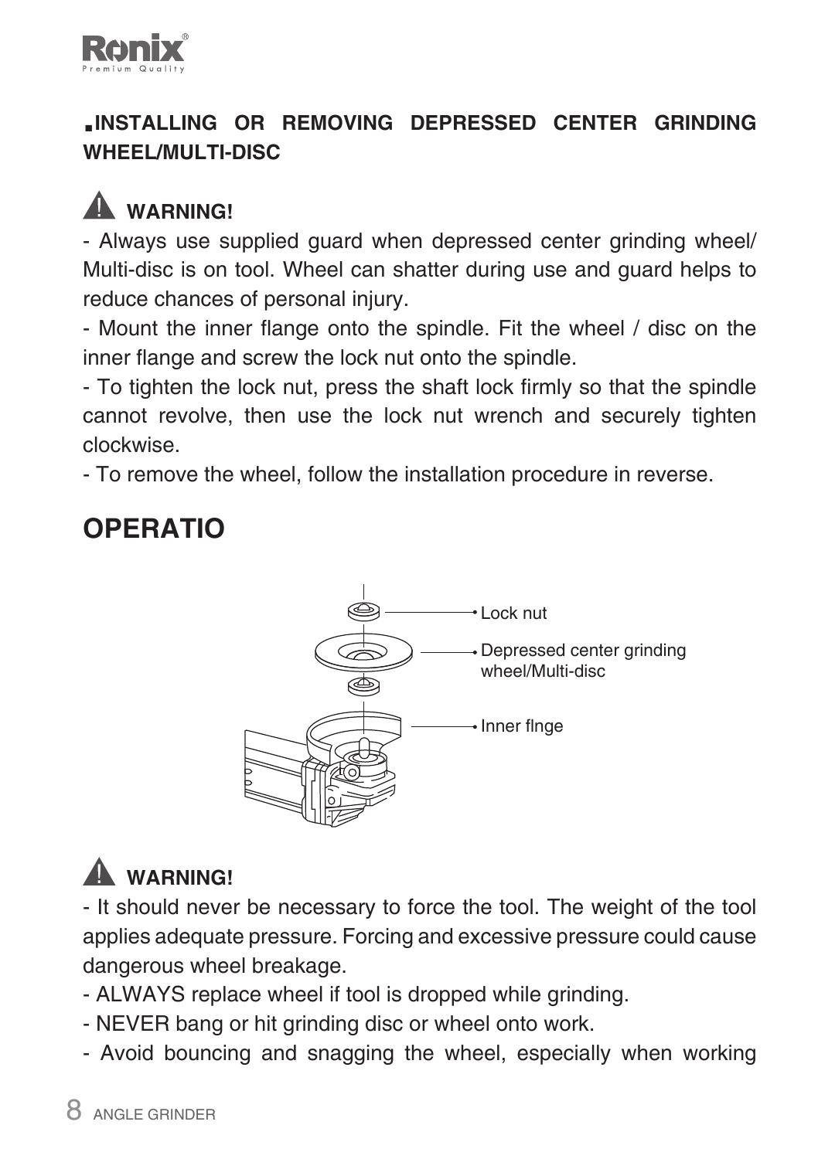

#### **.INSTALLING OR REMOVING DEPRESSED CENTER GRINDING WHEEL/MULTI-DISC**

## **A** WARNING!

- Always use supplied guard when depressed center grinding wheel/ Multi-disc is on tool. Wheel can shatter during use and guard helps to reduce chances of personal injury.

- Mount the inner flange onto the spindle. Fit the wheel / disc on the inner flange and screw the lock nut onto the spindle.

- To tighten the lock nut, press the shaft lock firmly so that the spindle cannot revolve, then use the lock nut wrench and securely tighten clockwise.

- To remove the wheel, follow the installation procedure in reverse.

### **OPERATIO**



## **WARNING!**

- It should never be necessary to force the tool. The weight of the tool applies adequate pressure. Forcing and excessive pressure could cause dangerous wheel breakage.

- ALWAYS replace wheel if tool is dropped while grinding.
- NEVER bang or hit grinding disc or wheel onto work.
- Avoid bouncing and snagging the wheel, especially when working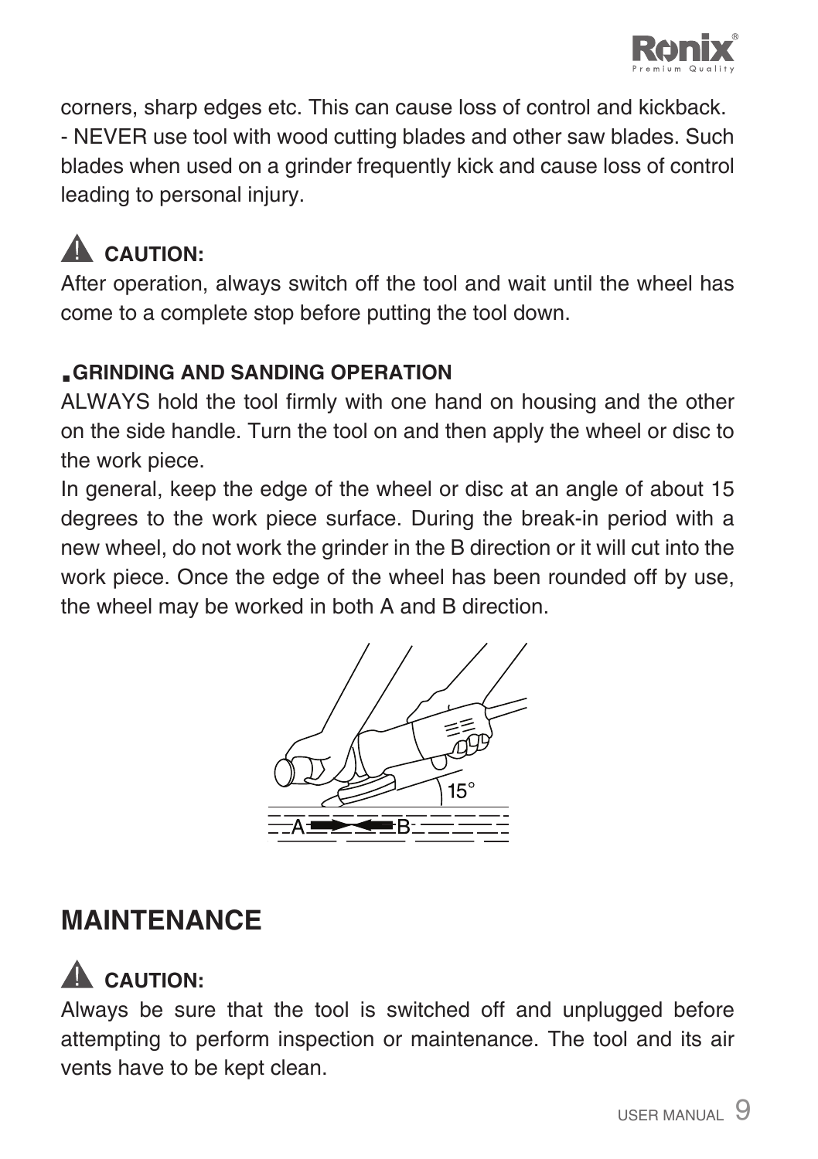

corners, sharp edges etc. This can cause loss of control and kickback. - NEVER use tool with wood cutting blades and other saw blades. Such blades when used on a grinder frequently kick and cause loss of control leading to personal injury.

# A CAUTION:

After operation, always switch off the tool and wait until the wheel has come to a complete stop before putting the tool down.

#### **.GRINDING AND SANDING OPERATION**

ALWAYS hold the tool firmly with one hand on housing and the other on the side handle. Turn the tool on and then apply the wheel or disc to the work piece.

In general, keep the edge of the wheel or disc at an angle of about 15 degrees to the work piece surface. During the break-in period with a new wheel, do not work the grinder in the B direction or it will cut into the work piece. Once the edge of the wheel has been rounded off by use, the wheel may be worked in both A and B direction.



### **MAINTENANCE**

# **AL** CAUTION.

Always be sure that the tool is switched off and unplugged before attempting to perform inspection or maintenance. The tool and its air vents have to be kept clean.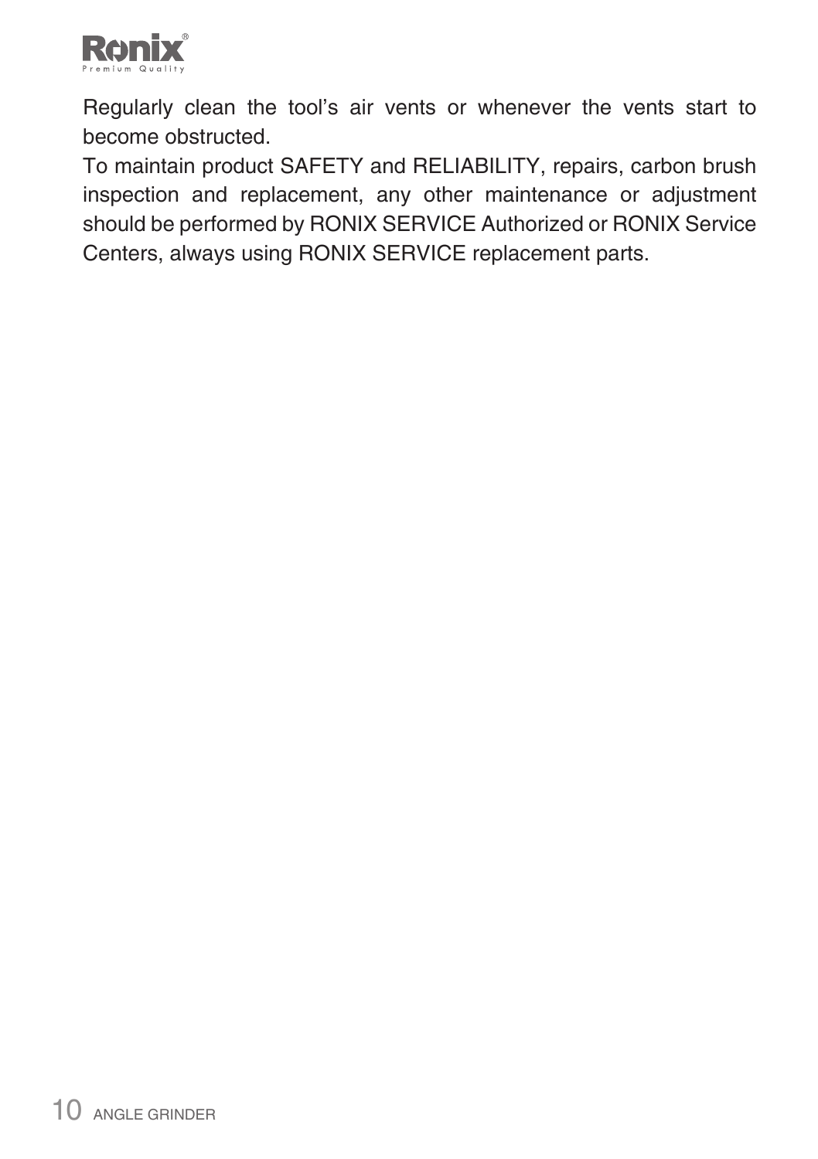

Regularly clean the tool's air vents or whenever the vents start to become obstructed.

To maintain product SAFETY and RELIABILITY, repairs, carbon brush inspection and replacement, any other maintenance or adjustment should be performed by RONIX SERVICE Authorized or RONIX Service Centers, always using RONIX SERVICE replacement parts.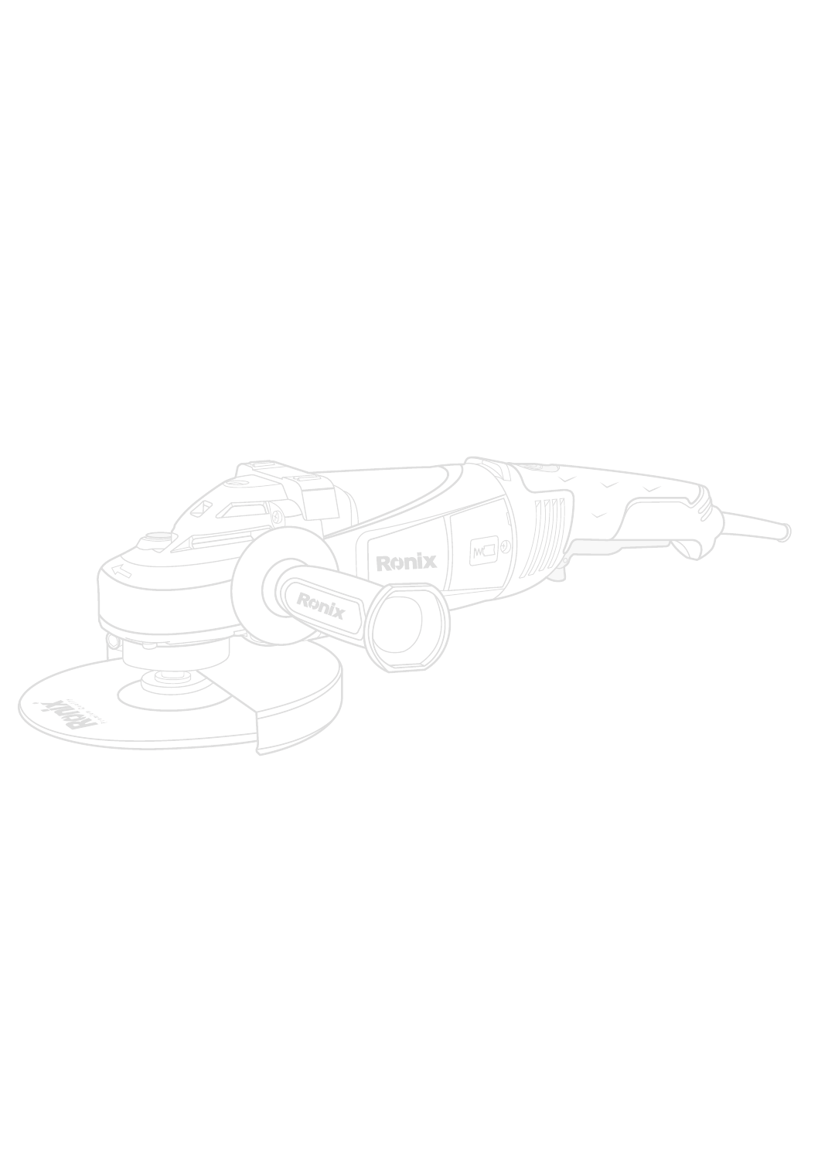